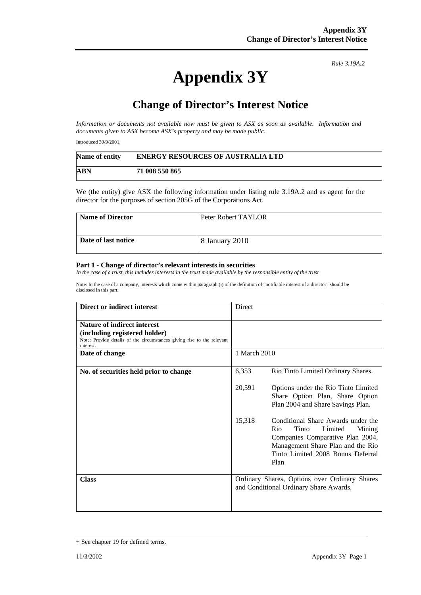## **Appendix 3Y**

*Rule 3.19A.2*

## **Change of Director's Interest Notice**

*Information or documents not available now must be given to ASX as soon as available. Information and documents given to ASX become ASX's property and may be made public.* 

Introduced 30/9/2001.

| Name of entity | <b>ENERGY RESOURCES OF AUSTRALIA LTD</b> |
|----------------|------------------------------------------|
| ABN            | 71 008 550 865                           |

We (the entity) give ASX the following information under listing rule 3.19A.2 and as agent for the director for the purposes of section 205G of the Corporations Act.

| <b>Name of Director</b> | Peter Robert TAYLOR |
|-------------------------|---------------------|
| Date of last notice     | 8 January 2010      |

## **Part 1 - Change of director's relevant interests in securities**

*In the case of a trust, this includes interests in the trust made available by the responsible entity of the trust* 

Note: In the case of a company, interests which come within paragraph (i) of the definition of "notifiable interest of a director" should be disclosed in this part.

| Direct or indirect interest                                                                                                                         | Direct                                                                                  |                                                                                                                                                                                               |
|-----------------------------------------------------------------------------------------------------------------------------------------------------|-----------------------------------------------------------------------------------------|-----------------------------------------------------------------------------------------------------------------------------------------------------------------------------------------------|
| Nature of indirect interest<br>(including registered holder)<br>Note: Provide details of the circumstances giving rise to the relevant<br>interest. |                                                                                         |                                                                                                                                                                                               |
| Date of change                                                                                                                                      | 1 March 2010                                                                            |                                                                                                                                                                                               |
| No. of securities held prior to change                                                                                                              | 6,353                                                                                   | Rio Tinto Limited Ordinary Shares.                                                                                                                                                            |
|                                                                                                                                                     | 20,591                                                                                  | Options under the Rio Tinto Limited<br>Share Option Plan, Share Option<br>Plan 2004 and Share Savings Plan.                                                                                   |
|                                                                                                                                                     | 15,318                                                                                  | Conditional Share Awards under the<br>Rio<br>Tinto<br>Limited<br>Mining<br>Companies Comparative Plan 2004,<br>Management Share Plan and the Rio<br>Tinto Limited 2008 Bonus Deferral<br>Plan |
| <b>Class</b>                                                                                                                                        | Ordinary Shares, Options over Ordinary Shares<br>and Conditional Ordinary Share Awards. |                                                                                                                                                                                               |

<sup>+</sup> See chapter 19 for defined terms.